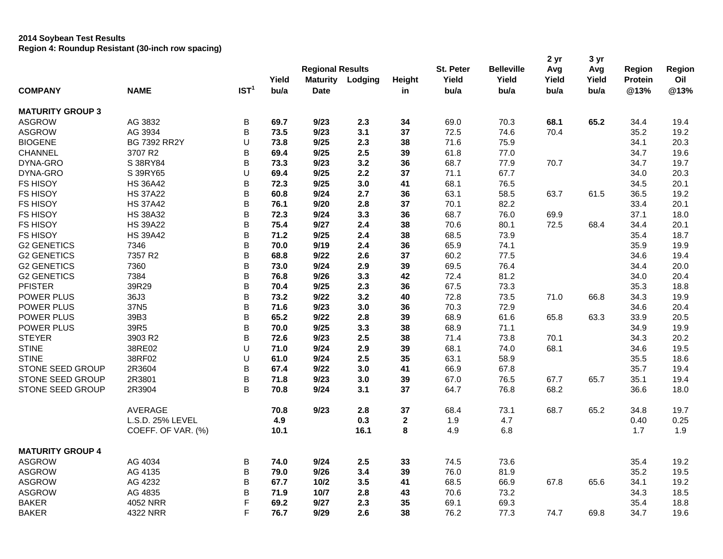## **2014 Soybean Test Results Region 4: Roundup Resistant (30-inch row spacing)**

|                         |                     |                  |       | <b>Regional Results</b> |         |              | St. Peter | <b>Belleville</b> | 2 yr<br>Avg | 3 yr<br>Avg | <b>Region</b> | Region |
|-------------------------|---------------------|------------------|-------|-------------------------|---------|--------------|-----------|-------------------|-------------|-------------|---------------|--------|
|                         |                     |                  | Yield | <b>Maturity</b>         | Lodging | Height       | Yield     | Yield             | Yield       | Yield       | Protein       | Oil    |
| <b>COMPANY</b>          | <b>NAME</b>         | IST <sup>1</sup> | bu/a  | <b>Date</b>             |         | in           | bu/a      | bu/a              | bu/a        | bu/a        | @13%          | @13%   |
| <b>MATURITY GROUP 3</b> |                     |                  |       |                         |         |              |           |                   |             |             |               |        |
| <b>ASGROW</b>           | AG 3832             | B                | 69.7  | 9/23                    | 2.3     | 34           | 69.0      | 70.3              | 68.1        | 65.2        | 34.4          | 19.4   |
| <b>ASGROW</b>           | AG 3934             | B                | 73.5  | 9/23                    | 3.1     | 37           | 72.5      | 74.6              | 70.4        |             | 35.2          | 19.2   |
| <b>BIOGENE</b>          | <b>BG 7392 RR2Y</b> | U                | 73.8  | 9/25                    | 2.3     | 38           | 71.6      | 75.9              |             |             | 34.1          | 20.3   |
| CHANNEL                 | 3707 R2             | B                | 69.4  | 9/25                    | 2.5     | 39           | 61.8      | 77.0              |             |             | 34.7          | 19.6   |
| DYNA-GRO                | S 38RY84            | B                | 73.3  | 9/23                    | 3.2     | 36           | 68.7      | 77.9              | 70.7        |             | 34.7          | 19.7   |
| DYNA-GRO                | S 39RY65            | U                | 69.4  | 9/25                    | 2.2     | 37           | 71.1      | 67.7              |             |             | 34.0          | 20.3   |
| <b>FS HISOY</b>         | <b>HS 36A42</b>     | B                | 72.3  | 9/25                    | 3.0     | 41           | 68.1      | 76.5              |             |             | 34.5          | 20.1   |
| <b>FS HISOY</b>         | <b>HS 37A22</b>     | B                | 60.8  | 9/24                    | 2.7     | 36           | 63.1      | 58.5              | 63.7        | 61.5        | 36.5          | 19.2   |
| <b>FS HISOY</b>         | <b>HS 37A42</b>     | B                | 76.1  | 9/20                    | 2.8     | 37           | 70.1      | 82.2              |             |             | 33.4          | 20.1   |
| <b>FS HISOY</b>         | <b>HS 38A32</b>     | B                | 72.3  | 9/24                    | 3.3     | 36           | 68.7      | 76.0              | 69.9        |             | 37.1          | 18.0   |
| <b>FS HISOY</b>         | <b>HS 39A22</b>     | B                | 75.4  | 9/27                    | 2.4     | 38           | 70.6      | 80.1              | 72.5        | 68.4        | 34.4          | 20.1   |
| <b>FS HISOY</b>         | <b>HS 39A42</b>     | B                | 71.2  | 9/25                    | 2.4     | 38           | 68.5      | 73.9              |             |             | 35.4          | 18.7   |
| <b>G2 GENETICS</b>      | 7346                | B                | 70.0  | 9/19                    | 2.4     | 36           | 65.9      | 74.1              |             |             | 35.9          | 19.9   |
| <b>G2 GENETICS</b>      | 7357 R2             | B                | 68.8  | 9/22                    | 2.6     | 37           | 60.2      | 77.5              |             |             | 34.6          | 19.4   |
| <b>G2 GENETICS</b>      | 7360                | B                | 73.0  | 9/24                    | 2.9     | 39           | 69.5      | 76.4              |             |             | 34.4          | 20.0   |
| <b>G2 GENETICS</b>      | 7384                | B                | 76.8  | 9/26                    | 3.3     | 42           | 72.4      | 81.2              |             |             | 34.0          | 20.4   |
| <b>PFISTER</b>          | 39R29               | B                | 70.4  | 9/25                    | 2.3     | 36           | 67.5      | 73.3              |             |             | 35.3          | 18.8   |
| <b>POWER PLUS</b>       | 36J3                | B                | 73.2  | 9/22                    | 3.2     | 40           | 72.8      | 73.5              | 71.0        | 66.8        | 34.3          | 19.9   |
| <b>POWER PLUS</b>       | 37N <sub>5</sub>    | B                | 71.6  | 9/23                    | 3.0     | 36           | 70.3      | 72.9              |             |             | 34.6          | 20.4   |
| POWER PLUS              | 39B3                | B                | 65.2  | 9/22                    | 2.8     | 39           | 68.9      | 61.6              | 65.8        | 63.3        | 33.9          | 20.5   |
| <b>POWER PLUS</b>       | 39R5                | B                | 70.0  | 9/25                    | 3.3     | 38           | 68.9      | 71.1              |             |             | 34.9          | 19.9   |
| <b>STEYER</b>           | 3903 R2             | B                | 72.6  | 9/23                    | 2.5     | 38           | 71.4      | 73.8              | 70.1        |             | 34.3          | 20.2   |
| <b>STINE</b>            | 38RE02              | U                | 71.0  | 9/24                    | 2.9     | 39           | 68.1      | 74.0              | 68.1        |             | 34.6          | 19.5   |
| <b>STINE</b>            | 38RF02              | U                | 61.0  | 9/24                    | 2.5     | 35           | 63.1      | 58.9              |             |             | 35.5          | 18.6   |
| <b>STONE SEED GROUP</b> | 2R3604              | B                | 67.4  | 9/22                    | 3.0     | 41           | 66.9      | 67.8              |             |             | 35.7          | 19.4   |
| STONE SEED GROUP        | 2R3801              | B                | 71.8  | 9/23                    | 3.0     | 39           | 67.0      | 76.5              | 67.7        | 65.7        | 35.1          | 19.4   |
| STONE SEED GROUP        | 2R3904              | B                | 70.8  | 9/24                    | 3.1     | 37           | 64.7      | 76.8              | 68.2        |             | 36.6          | 18.0   |
|                         | AVERAGE             |                  | 70.8  | 9/23                    | 2.8     | 37           | 68.4      | 73.1              | 68.7        | 65.2        | 34.8          | 19.7   |
|                         | L.S.D. 25% LEVEL    |                  | 4.9   |                         | 0.3     | $\mathbf{2}$ | 1.9       | 4.7               |             |             | 0.40          | 0.25   |
|                         | COEFF. OF VAR. (%)  |                  | 10.1  |                         | 16.1    | 8            | 4.9       | 6.8               |             |             | 1.7           | 1.9    |
| <b>MATURITY GROUP 4</b> |                     |                  |       |                         |         |              |           |                   |             |             |               |        |
| <b>ASGROW</b>           | AG 4034             | В                | 74.0  | 9/24                    | 2.5     | 33           | 74.5      | 73.6              |             |             | 35.4          | 19.2   |
| <b>ASGROW</b>           | AG 4135             | B                | 79.0  | 9/26                    | 3.4     | 39           | 76.0      | 81.9              |             |             | 35.2          | 19.5   |
| <b>ASGROW</b>           | AG 4232             | B                | 67.7  | 10/2                    | 3.5     | 41           | 68.5      | 66.9              | 67.8        | 65.6        | 34.1          | 19.2   |
| <b>ASGROW</b>           | AG 4835             | B                | 71.9  | 10/7                    | 2.8     | 43           | 70.6      | 73.2              |             |             | 34.3          | 18.5   |
| <b>BAKER</b>            | 4052 NRR            | F                | 69.2  | 9/27                    | 2.3     | 35           | 69.1      | 69.3              |             |             | 35.4          | 18.8   |
| <b>BAKER</b>            | 4322 NRR            | F                | 76.7  | 9/29                    | 2.6     | 38           | 76.2      | 77.3              | 74.7        | 69.8        | 34.7          | 19.6   |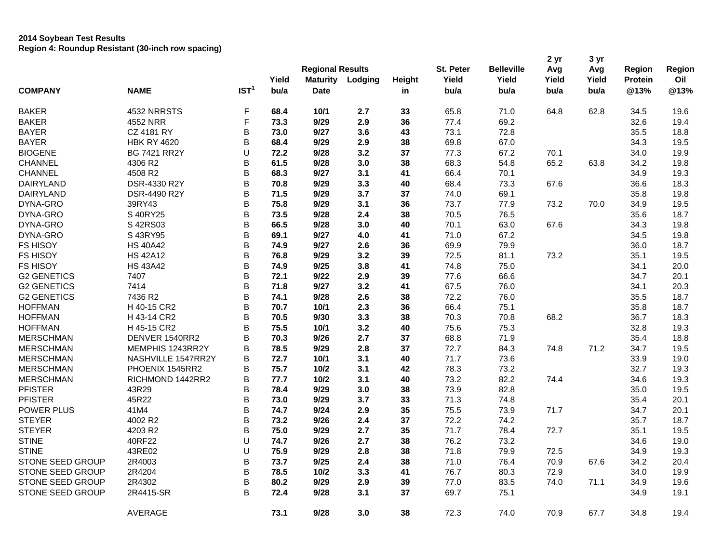## **2014 Soybean Test Results Region 4: Roundup Resistant (30-inch row spacing)**

| <b>COMPANY</b>     | <b>NAME</b>         | IST <sup>1</sup> | Yield<br>b <sub>u/a</sub> | <b>Regional Results</b><br><b>Maturity</b><br><b>Date</b> | Lodging | Height<br>in | St. Peter<br>Yield<br>bu/a | <b>Belleville</b><br>Yield<br>bu/a | 2 yr<br>Avg<br>Yield<br>bu/a | 3 yr<br>Avg<br>Yield<br>bu/a | Region<br><b>Protein</b><br>@13% | Region<br>Oil<br>@13% |
|--------------------|---------------------|------------------|---------------------------|-----------------------------------------------------------|---------|--------------|----------------------------|------------------------------------|------------------------------|------------------------------|----------------------------------|-----------------------|
| <b>BAKER</b>       | 4532 NRRSTS         | F                | 68.4                      | 10/1                                                      | 2.7     | 33           | 65.8                       | 71.0                               | 64.8                         | 62.8                         | 34.5                             | 19.6                  |
| <b>BAKER</b>       | 4552 NRR            | F                | 73.3                      | 9/29                                                      | 2.9     | 36           | 77.4                       | 69.2                               |                              |                              | 32.6                             | 19.4                  |
| <b>BAYER</b>       | <b>CZ 4181 RY</b>   | B                | 73.0                      | 9/27                                                      | 3.6     | 43           | 73.1                       | 72.8                               |                              |                              | 35.5                             | 18.8                  |
| <b>BAYER</b>       | <b>HBK RY 4620</b>  | B                | 68.4                      | 9/29                                                      | 2.9     | 38           | 69.8                       | 67.0                               |                              |                              | 34.3                             | 19.5                  |
| <b>BIOGENE</b>     | <b>BG 7421 RR2Y</b> | U                | 72.2                      | 9/28                                                      | 3.2     | 37           | 77.3                       | 67.2                               | 70.1                         |                              | 34.0                             | 19.9                  |
| CHANNEL            | 4306 R2             | B                | 61.5                      | 9/28                                                      | 3.0     | 38           | 68.3                       | 54.8                               | 65.2                         | 63.8                         | 34.2                             | 19.8                  |
| <b>CHANNEL</b>     | 4508 R2             | B                | 68.3                      | 9/27                                                      | 3.1     | 41           | 66.4                       | 70.1                               |                              |                              | 34.9                             | 19.3                  |
| <b>DAIRYLAND</b>   | <b>DSR-4330 R2Y</b> | B                | 70.8                      | 9/29                                                      | 3.3     | 40           | 68.4                       | 73.3                               | 67.6                         |                              | 36.6                             | 18.3                  |
| <b>DAIRYLAND</b>   | DSR-4490 R2Y        | B                | 71.5                      | 9/29                                                      | 3.7     | 37           | 74.0                       | 69.1                               |                              |                              | 35.8                             | 19.8                  |
| DYNA-GRO           | 39RY43              | B                | 75.8                      | 9/29                                                      | 3.1     | 36           | 73.7                       | 77.9                               | 73.2                         | 70.0                         | 34.9                             | 19.5                  |
| DYNA-GRO           | S 40RY25            | B                | 73.5                      | 9/28                                                      | 2.4     | 38           | 70.5                       | 76.5                               |                              |                              | 35.6                             | 18.7                  |
| DYNA-GRO           | S 42RS03            | B                | 66.5                      | 9/28                                                      | 3.0     | 40           | 70.1                       | 63.0                               | 67.6                         |                              | 34.3                             | 19.8                  |
| DYNA-GRO           | S43RY95             | B                | 69.1                      | 9/27                                                      | 4.0     | 41           | 71.0                       | 67.2                               |                              |                              | 34.5                             | 19.8                  |
| <b>FS HISOY</b>    | <b>HS 40A42</b>     | B                | 74.9                      | 9/27                                                      | 2.6     | 36           | 69.9                       | 79.9                               |                              |                              | 36.0                             | 18.7                  |
| <b>FS HISOY</b>    | <b>HS 42A12</b>     | B                | 76.8                      | 9/29                                                      | 3.2     | 39           | 72.5                       | 81.1                               | 73.2                         |                              | 35.1                             | 19.5                  |
| <b>FS HISOY</b>    | <b>HS 43A42</b>     | B                | 74.9                      | 9/25                                                      | 3.8     | 41           | 74.8                       | 75.0                               |                              |                              | 34.1                             | 20.0                  |
| <b>G2 GENETICS</b> | 7407                | B                | 72.1                      | 9/22                                                      | 2.9     | 39           | 77.6                       | 66.6                               |                              |                              | 34.7                             | 20.1                  |
| <b>G2 GENETICS</b> | 7414                | $\mathsf B$      | 71.8                      | 9/27                                                      | 3.2     | 41           | 67.5                       | 76.0                               |                              |                              | 34.1                             | 20.3                  |
| <b>G2 GENETICS</b> | 7436 R2             | B                | 74.1                      | 9/28                                                      | 2.6     | 38           | 72.2                       | 76.0                               |                              |                              | 35.5                             | 18.7                  |
| <b>HOFFMAN</b>     | H 40-15 CR2         | $\mathsf B$      | 70.7                      | $10/1$                                                    | 2.3     | 36           | 66.4                       | 75.1                               |                              |                              | 35.8                             | 18.7                  |
| <b>HOFFMAN</b>     | H 43-14 CR2         | B                | 70.5                      | 9/30                                                      | 3.3     | 38           | 70.3                       | 70.8                               | 68.2                         |                              | 36.7                             | 18.3                  |
| <b>HOFFMAN</b>     | H 45-15 CR2         | B                | 75.5                      | $10/1$                                                    | 3.2     | 40           | 75.6                       | 75.3                               |                              |                              | 32.8                             | 19.3                  |
| <b>MERSCHMAN</b>   | DENVER 1540RR2      | B                | 70.3                      | 9/26                                                      | 2.7     | 37           | 68.8                       | 71.9                               |                              |                              | 35.4                             | 18.8                  |
| <b>MERSCHMAN</b>   | MEMPHIS 1243RR2Y    | B                | 78.5                      | 9/29                                                      | 2.8     | 37           | 72.7                       | 84.3                               | 74.8                         | 71.2                         | 34.7                             | 19.5                  |
| <b>MERSCHMAN</b>   | NASHVILLE 1547RR2Y  | B                | 72.7                      | $10/1$                                                    | 3.1     | 40           | 71.7                       | 73.6                               |                              |                              | 33.9                             | 19.0                  |
| <b>MERSCHMAN</b>   | PHOENIX 1545RR2     | B                | 75.7                      | 10/2                                                      | 3.1     | 42           | 78.3                       | 73.2                               |                              |                              | 32.7                             | 19.3                  |
| <b>MERSCHMAN</b>   | RICHMOND 1442RR2    | B                | 77.7                      | 10/2                                                      | 3.1     | 40           | 73.2                       | 82.2                               | 74.4                         |                              | 34.6                             | 19.3                  |
| <b>PFISTER</b>     | 43R29               | B                | 78.4                      | 9/29                                                      | 3.0     | 38           | 73.9                       | 82.8                               |                              |                              | 35.0                             | 19.5                  |
| <b>PFISTER</b>     | 45R22               | $\mathsf B$      | 73.0                      | 9/29                                                      | 3.7     | 33           | 71.3                       | 74.8                               |                              |                              | 35.4                             | 20.1                  |
| <b>POWER PLUS</b>  | 41M4                | B                | 74.7                      | 9/24                                                      | 2.9     | 35           | 75.5                       | 73.9                               | 71.7                         |                              | 34.7                             | 20.1                  |
| <b>STEYER</b>      | 4002 R2             | $\mathsf B$      | 73.2                      | 9/26                                                      | 2.4     | 37           | 72.2                       | 74.2                               |                              |                              | 35.7                             | 18.7                  |
| <b>STEYER</b>      | 4203 R2             | B                | 75.0                      | 9/29                                                      | 2.7     | 35           | 71.7                       | 78.4                               | 72.7                         |                              | 35.1                             | 19.5                  |
| <b>STINE</b>       | 40RF22              | U                | 74.7                      | 9/26                                                      | 2.7     | 38           | 76.2                       | 73.2                               |                              |                              | 34.6                             | 19.0                  |
| <b>STINE</b>       | 43RE02              | U                | 75.9                      | 9/29                                                      | 2.8     | 38           | 71.8                       | 79.9                               | 72.5                         |                              | 34.9                             | 19.3                  |
| STONE SEED GROUP   | 2R4003              | B                | 73.7                      | 9/25                                                      | 2.4     | 38           | 71.0                       | 76.4                               | 70.9                         | 67.6                         | 34.2                             | 20.4                  |
| STONE SEED GROUP   | 2R4204              | B                | 78.5                      | 10/2                                                      | 3.3     | 41           | 76.7                       | 80.3                               | 72.9                         |                              | 34.0                             | 19.9                  |
| STONE SEED GROUP   | 2R4302              | B                | 80.2                      | 9/29                                                      | 2.9     | 39           | 77.0                       | 83.5                               | 74.0                         | 71.1                         | 34.9                             | 19.6                  |
| STONE SEED GROUP   | 2R4415-SR           | B                | 72.4                      | 9/28                                                      | 3.1     | 37           | 69.7                       | 75.1                               |                              |                              | 34.9                             | 19.1                  |
|                    | AVERAGE             |                  | 73.1                      | 9/28                                                      | 3.0     | 38           | 72.3                       | 74.0                               | 70.9                         | 67.7                         | 34.8                             | 19.4                  |